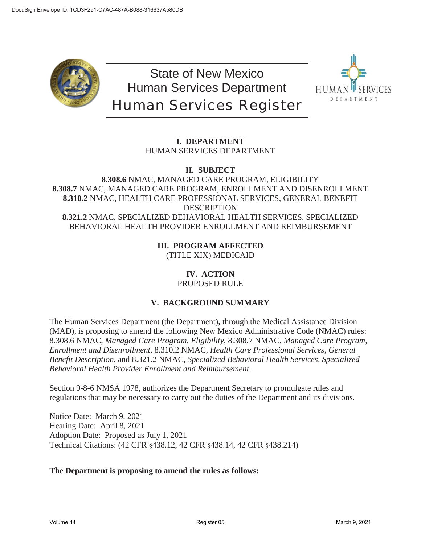

State of New Mexico Human Services Department Human Services Register



# **I. DEPARTMENT** HUMAN SERVICES DEPARTMENT

# **II. SUBJECT 8.308.6** NMAC, MANAGED CARE PROGRAM, ELIGIBILITY **8.308.7** NMAC, MANAGED CARE PROGRAM, ENROLLMENT AND DISENROLLMENT **8.310.2** NMAC, HEALTH CARE PROFESSIONAL SERVICES, GENERAL BENEFIT DESCRIPTION **8.321.2** NMAC, SPECIALIZED BEHAVIORAL HEALTH SERVICES, SPECIALIZED BEHAVIORAL HEALTH PROVIDER ENROLLMENT AND REIMBURSEMENT

# **III. PROGRAM AFFECTED**

(TITLE XIX) MEDICAID

## **IV. ACTION** PROPOSED RULE

# **V. BACKGROUND SUMMARY**

The Human Services Department (the Department), through the Medical Assistance Division (MAD), is proposing to amend the following New Mexico Administrative Code (NMAC) rules: 8.308.6 NMAC, *Managed Care Program, Eligibility*, 8.308.7 NMAC, *Managed Care Program, Enrollment and Disenrollment*, 8.310.2 NMAC, *Health Care Professional Services, General Benefit Description*, and 8.321.2 NMAC, *Specialized Behavioral Health Services, Specialized Behavioral Health Provider Enrollment and Reimbursement*.

Section 9-8-6 NMSA 1978, authorizes the Department Secretary to promulgate rules and regulations that may be necessary to carry out the duties of the Department and its divisions.

Notice Date: March 9, 2021 Hearing Date: April 8, 2021 Adoption Date: Proposed as July 1, 2021 Technical Citations: (42 CFR §438.12, 42 CFR §438.14, 42 CFR §438.214)

# **The Department is proposing to amend the rules as follows:**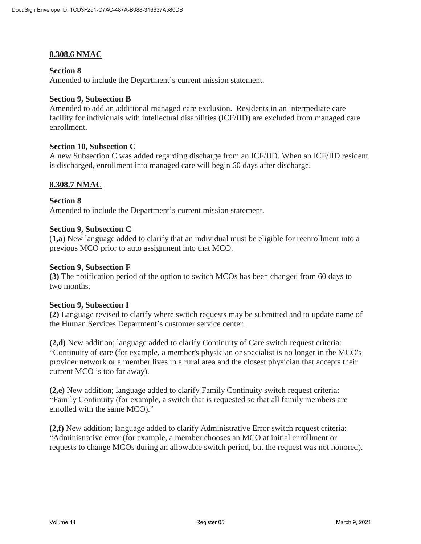# **8.308.6 NMAC**

#### **Section 8**

Amended to include the Department's current mission statement.

#### **Section 9, Subsection B**

Amended to add an additional managed care exclusion. Residents in an intermediate care facility for individuals with intellectual disabilities (ICF/IID) are excluded from managed care enrollment.

#### **Section 10, Subsection C**

A new Subsection C was added regarding discharge from an ICF/IID. When an ICF/IID resident is discharged, enrollment into managed care will begin 60 days after discharge.

# **8.308.7 NMAC**

**Section 8**  Amended to include the Department's current mission statement.

#### **Section 9, Subsection C**

(**1,a**) New language added to clarify that an individual must be eligible for reenrollment into a previous MCO prior to auto assignment into that MCO.

#### **Section 9, Subsection F**

**(3)** The notification period of the option to switch MCOs has been changed from 60 days to two months.

#### **Section 9, Subsection I**

**(2)** Language revised to clarify where switch requests may be submitted and to update name of the Human Services Department's customer service center.

**(2,d)** New addition; language added to clarify Continuity of Care switch request criteria: "Continuity of care (for example, a member's physician or specialist is no longer in the MCO's provider network or a member lives in a rural area and the closest physician that accepts their current MCO is too far away).

**(2,e)** New addition; language added to clarify Family Continuity switch request criteria: "Family Continuity (for example, a switch that is requested so that all family members are enrolled with the same MCO)."

**(2,f)** New addition; language added to clarify Administrative Error switch request criteria: "Administrative error (for example, a member chooses an MCO at initial enrollment or requests to change MCOs during an allowable switch period, but the request was not honored).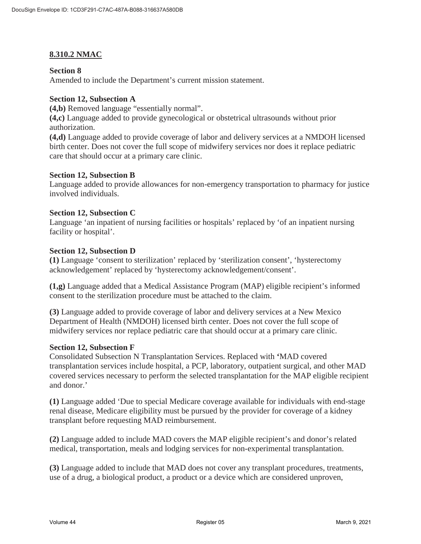# **8.310.2 NMAC**

### **Section 8**

Amended to include the Department's current mission statement.

# **Section 12, Subsection A**

**(4,b)** Removed language "essentially normal".

**(4,c)** Language added to provide gynecological or obstetrical ultrasounds without prior authorization.

**(4,d)** Language added to provide coverage of labor and delivery services at a NMDOH licensed birth center. Does not cover the full scope of midwifery services nor does it replace pediatric care that should occur at a primary care clinic.

#### **Section 12, Subsection B**

Language added to provide allowances for non-emergency transportation to pharmacy for justice involved individuals.

#### **Section 12, Subsection C**

Language 'an inpatient of nursing facilities or hospitals' replaced by 'of an inpatient nursing facility or hospital'.

#### **Section 12, Subsection D**

**(1)** Language 'consent to sterilization' replaced by 'sterilization consent', 'hysterectomy acknowledgement' replaced by 'hysterectomy acknowledgement/consent'.

**(1,g)** Language added that a Medical Assistance Program (MAP) eligible recipient's informed consent to the sterilization procedure must be attached to the claim.

**(3)** Language added to provide coverage of labor and delivery services at a New Mexico Department of Health (NMDOH) licensed birth center. Does not cover the full scope of midwifery services nor replace pediatric care that should occur at a primary care clinic.

#### **Section 12, Subsection F**

Consolidated Subsection N Transplantation Services. Replaced with **'**MAD covered transplantation services include hospital, a PCP, laboratory, outpatient surgical, and other MAD covered services necessary to perform the selected transplantation for the MAP eligible recipient and donor.'

**(1)** Language added 'Due to special Medicare coverage available for individuals with end-stage renal disease, Medicare eligibility must be pursued by the provider for coverage of a kidney transplant before requesting MAD reimbursement.

**(2)** Language added to include MAD covers the MAP eligible recipient's and donor's related medical, transportation, meals and lodging services for non-experimental transplantation.

**(3)** Language added to include that MAD does not cover any transplant procedures, treatments, use of a drug, a biological product, a product or a device which are considered unproven,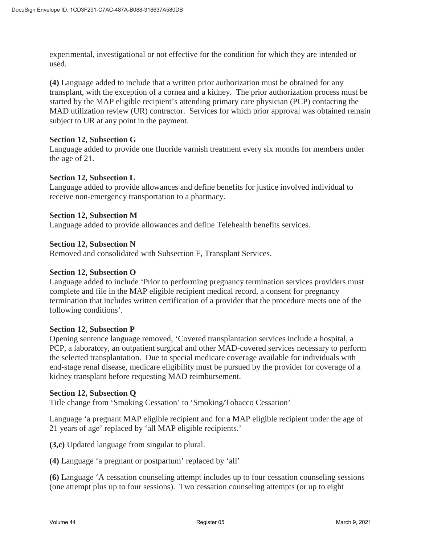experimental, investigational or not effective for the condition for which they are intended or used.

**(4)** Language added to include that a written prior authorization must be obtained for any transplant, with the exception of a cornea and a kidney. The prior authorization process must be started by the MAP eligible recipient's attending primary care physician (PCP) contacting the MAD utilization review (UR) contractor. Services for which prior approval was obtained remain subject to UR at any point in the payment.

#### **Section 12, Subsection G**

Language added to provide one fluoride varnish treatment every six months for members under the age of 21.

#### **Section 12, Subsection L**

Language added to provide allowances and define benefits for justice involved individual to receive non-emergency transportation to a pharmacy.

#### **Section 12, Subsection M**

Language added to provide allowances and define Telehealth benefits services.

#### **Section 12, Subsection N**

Removed and consolidated with Subsection F, Transplant Services.

#### **Section 12, Subsection O**

Language added to include 'Prior to performing pregnancy termination services providers must complete and file in the MAP eligible recipient medical record, a consent for pregnancy termination that includes written certification of a provider that the procedure meets one of the following conditions'.

#### **Section 12, Subsection P**

Opening sentence language removed, 'Covered transplantation services include a hospital, a PCP, a laboratory, an outpatient surgical and other MAD-covered services necessary to perform the selected transplantation. Due to special medicare coverage available for individuals with end-stage renal disease, medicare eligibility must be pursued by the provider for coverage of a kidney transplant before requesting MAD reimbursement.

#### **Section 12, Subsection Q**

Title change from 'Smoking Cessation' to 'Smoking/Tobacco Cessation'

Language 'a pregnant MAP eligible recipient and for a MAP eligible recipient under the age of 21 years of age' replaced by 'all MAP eligible recipients.'

**(3,c)** Updated language from singular to plural.

**(4)** Language 'a pregnant or postpartum' replaced by 'all'

**(6)** Language 'A cessation counseling attempt includes up to four cessation counseling sessions (one attempt plus up to four sessions). Two cessation counseling attempts (or up to eight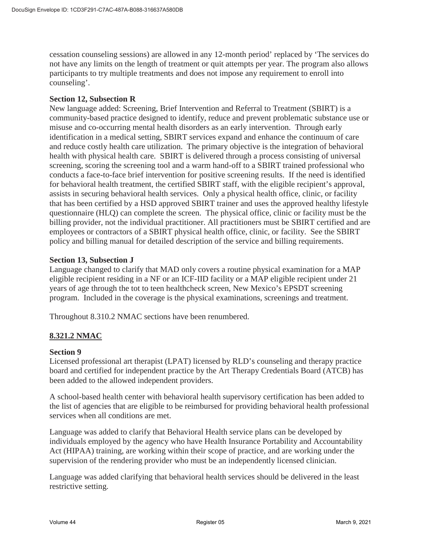cessation counseling sessions) are allowed in any 12-month period' replaced by 'The services do not have any limits on the length of treatment or quit attempts per year. The program also allows participants to try multiple treatments and does not impose any requirement to enroll into counseling'.

# **Section 12, Subsection R**

New language added: Screening, Brief Intervention and Referral to Treatment (SBIRT) is a community-based practice designed to identify, reduce and prevent problematic substance use or misuse and co-occurring mental health disorders as an early intervention. Through early identification in a medical setting, SBIRT services expand and enhance the continuum of care and reduce costly health care utilization. The primary objective is the integration of behavioral health with physical health care. SBIRT is delivered through a process consisting of universal screening, scoring the screening tool and a warm hand-off to a SBIRT trained professional who conducts a face-to-face brief intervention for positive screening results. If the need is identified for behavioral health treatment, the certified SBIRT staff, with the eligible recipient's approval, assists in securing behavioral health services. Only a physical health office, clinic, or facility that has been certified by a HSD approved SBIRT trainer and uses the approved healthy lifestyle questionnaire (HLQ) can complete the screen. The physical office, clinic or facility must be the billing provider, not the individual practitioner. All practitioners must be SBIRT certified and are employees or contractors of a SBIRT physical health office, clinic, or facility. See the SBIRT policy and billing manual for detailed description of the service and billing requirements.

#### **Section 13, Subsection J**

Language changed to clarify that MAD only covers a routine physical examination for a MAP eligible recipient residing in a NF or an ICF-IID facility or a MAP eligible recipient under 21 years of age through the tot to teen healthcheck screen, New Mexico's EPSDT screening program. Included in the coverage is the physical examinations, screenings and treatment.

Throughout 8.310.2 NMAC sections have been renumbered.

# **8.321.2 NMAC**

#### **Section 9**

Licensed professional art therapist (LPAT) licensed by RLD's counseling and therapy practice board and certified for independent practice by the Art Therapy Credentials Board (ATCB) has been added to the allowed independent providers.

A school-based health center with behavioral health supervisory certification has been added to the list of agencies that are eligible to be reimbursed for providing behavioral health professional services when all conditions are met.

Language was added to clarify that Behavioral Health service plans can be developed by individuals employed by the agency who have Health Insurance Portability and Accountability Act (HIPAA) training, are working within their scope of practice, and are working under the supervision of the rendering provider who must be an independently licensed clinician.

Language was added clarifying that behavioral health services should be delivered in the least restrictive setting.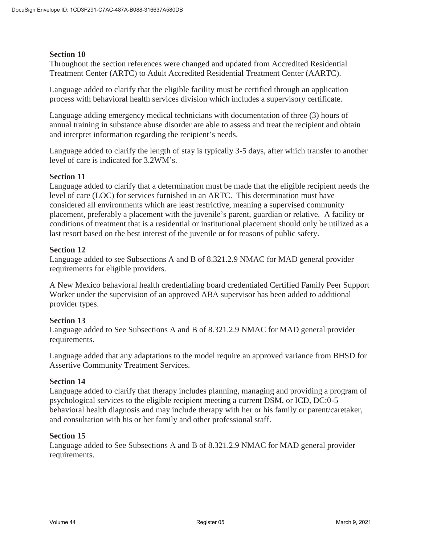Throughout the section references were changed and updated from Accredited Residential Treatment Center (ARTC) to Adult Accredited Residential Treatment Center (AARTC).

Language added to clarify that the eligible facility must be certified through an application process with behavioral health services division which includes a supervisory certificate.

Language adding emergency medical technicians with documentation of three (3) hours of annual training in substance abuse disorder are able to assess and treat the recipient and obtain and interpret information regarding the recipient's needs.

Language added to clarify the length of stay is typically 3-5 days, after which transfer to another level of care is indicated for 3.2WM's.

#### **Section 11**

Language added to clarify that a determination must be made that the eligible recipient needs the level of care (LOC) for services furnished in an ARTC. This determination must have considered all environments which are least restrictive, meaning a supervised community placement, preferably a placement with the juvenile's parent, guardian or relative. A facility or conditions of treatment that is a residential or institutional placement should only be utilized as a last resort based on the best interest of the juvenile or for reasons of public safety.

#### **Section 12**

Language added to see Subsections A and B of 8.321.2.9 NMAC for MAD general provider requirements for eligible providers.

A New Mexico behavioral health credentialing board credentialed Certified Family Peer Support Worker under the supervision of an approved ABA supervisor has been added to additional provider types.

# **Section 13**

Language added to See Subsections A and B of 8.321.2.9 NMAC for MAD general provider requirements.

Language added that any adaptations to the model require an approved variance from BHSD for Assertive Community Treatment Services.

#### **Section 14**

Language added to clarify that therapy includes planning, managing and providing a program of psychological services to the eligible recipient meeting a current DSM, or ICD, DC:0-5 behavioral health diagnosis and may include therapy with her or his family or parent/caretaker, and consultation with his or her family and other professional staff.

#### **Section 15**

Language added to See Subsections A and B of 8.321.2.9 NMAC for MAD general provider requirements.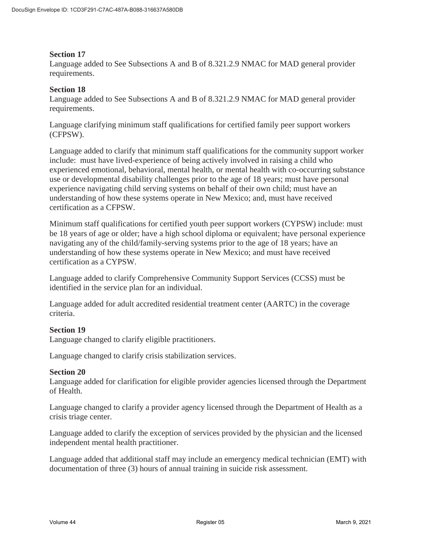Language added to See Subsections A and B of 8.321.2.9 NMAC for MAD general provider requirements.

#### **Section 18**

Language added to See Subsections A and B of 8.321.2.9 NMAC for MAD general provider requirements.

Language clarifying minimum staff qualifications for certified family peer support workers (CFPSW).

Language added to clarify that minimum staff qualifications for the community support worker include: must have lived-experience of being actively involved in raising a child who experienced emotional, behavioral, mental health, or mental health with co-occurring substance use or developmental disability challenges prior to the age of 18 years; must have personal experience navigating child serving systems on behalf of their own child; must have an understanding of how these systems operate in New Mexico; and, must have received certification as a CFPSW.

Minimum staff qualifications for certified youth peer support workers (CYPSW) include: must be 18 years of age or older; have a high school diploma or equivalent; have personal experience navigating any of the child/family-serving systems prior to the age of 18 years; have an understanding of how these systems operate in New Mexico; and must have received certification as a CYPSW.

Language added to clarify Comprehensive Community Support Services (CCSS) must be identified in the service plan for an individual.

Language added for adult accredited residential treatment center (AARTC) in the coverage criteria.

# **Section 19**

Language changed to clarify eligible practitioners.

Language changed to clarify crisis stabilization services.

#### **Section 20**

Language added for clarification for eligible provider agencies licensed through the Department of Health.

Language changed to clarify a provider agency licensed through the Department of Health as a crisis triage center.

Language added to clarify the exception of services provided by the physician and the licensed independent mental health practitioner.

Language added that additional staff may include an emergency medical technician (EMT) with documentation of three (3) hours of annual training in suicide risk assessment.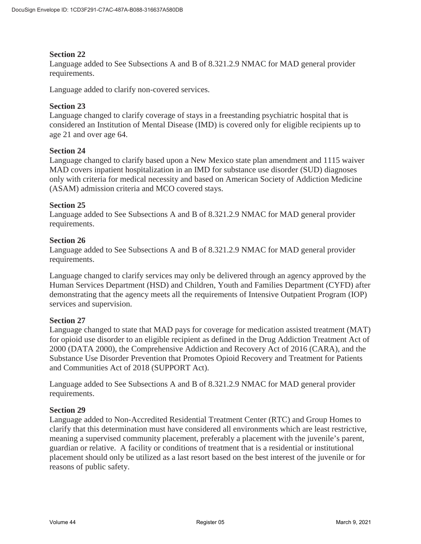Language added to See Subsections A and B of 8.321.2.9 NMAC for MAD general provider requirements.

Language added to clarify non-covered services.

# **Section 23**

Language changed to clarify coverage of stays in a freestanding psychiatric hospital that is considered an Institution of Mental Disease (IMD) is covered only for eligible recipients up to age 21 and over age 64.

#### **Section 24**

Language changed to clarify based upon a New Mexico state plan amendment and 1115 waiver MAD covers inpatient hospitalization in an IMD for substance use disorder (SUD) diagnoses only with criteria for medical necessity and based on American Society of Addiction Medicine (ASAM) admission criteria and MCO covered stays.

#### **Section 25**

Language added to See Subsections A and B of 8.321.2.9 NMAC for MAD general provider requirements.

#### **Section 26**

Language added to See Subsections A and B of 8.321.2.9 NMAC for MAD general provider requirements.

Language changed to clarify services may only be delivered through an agency approved by the Human Services Department (HSD) and Children, Youth and Families Department (CYFD) after demonstrating that the agency meets all the requirements of Intensive Outpatient Program (IOP) services and supervision.

#### **Section 27**

Language changed to state that MAD pays for coverage for medication assisted treatment (MAT) for opioid use disorder to an eligible recipient as defined in the Drug Addiction Treatment Act of 2000 (DATA 2000), the Comprehensive Addiction and Recovery Act of 2016 (CARA), and the Substance Use Disorder Prevention that Promotes Opioid Recovery and Treatment for Patients and Communities Act of 2018 (SUPPORT Act).

Language added to See Subsections A and B of 8.321.2.9 NMAC for MAD general provider requirements.

#### **Section 29**

Language added to Non-Accredited Residential Treatment Center (RTC) and Group Homes to clarify that this determination must have considered all environments which are least restrictive, meaning a supervised community placement, preferably a placement with the juvenile's parent, guardian or relative. A facility or conditions of treatment that is a residential or institutional placement should only be utilized as a last resort based on the best interest of the juvenile or for reasons of public safety.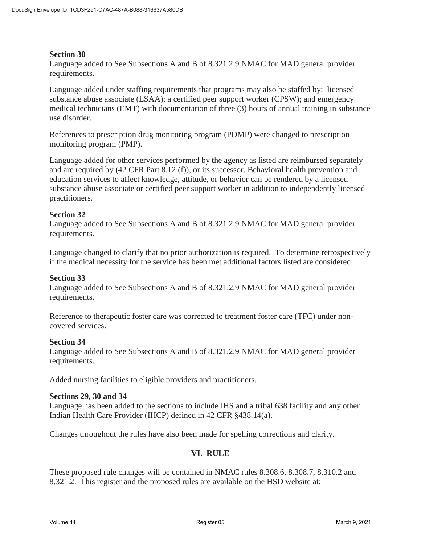Language added to See Subsections A and B of 8.321.2.9 NMAC for MAD general provider requirements.

Language added under staffing requirements that programs may also be staffed by: licensed substance abuse associate (LSAA); a certified peer support worker (CPSW); and emergency medical technicians (EMT) with documentation of three (3) hours of annual training in substance use disorder.

References to prescription drug monitoring program (PDMP) were changed to prescription monitoring program (PMP).

Language added for other services performed by the agency as listed are reimbursed separately and are required by (42 CFR Part 8.12 (f)), or its successor. Behavioral health prevention and education services to affect knowledge, attitude, or behavior can be rendered by a licensed substance abuse associate or certified peer support worker in addition to independently licensed practitioners.

# **Section 32**

Language added to See Subsections A and B of 8.321.2.9 NMAC for MAD general provider requirements.

Language changed to clarify that no prior authorization is required. To determine retrospectively if the medical necessity for the service has been met additional factors listed are considered.

#### **Section 33**

Language added to See Subsections A and B of 8.321.2.9 NMAC for MAD general provider requirements.

Reference to therapeutic foster care was corrected to treatment foster care (TFC) under noncovered services.

#### **Section 34**

Language added to See Subsections A and B of 8.321.2.9 NMAC for MAD general provider requirements.

Added nursing facilities to eligible providers and practitioners.

### **Sections 29, 30 and 34**

Language has been added to the sections to include IHS and a tribal 638 facility and any other Indian Health Care Provider (IHCP) defined in 42 CFR §438.14(a).

Changes throughout the rules have also been made for spelling corrections and clarity.

# **VI. RULE**

These proposed rule changes will be contained in NMAC rules 8.308.6, 8.308.7, 8.310.2 and 8.321.2. This register and the proposed rules are available on the HSD website at: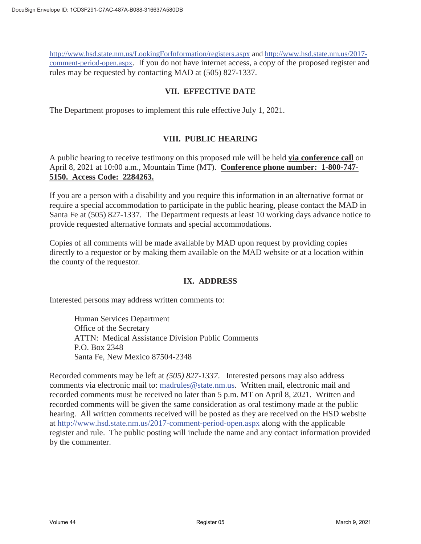http://www.hsd.state.nm.us/LookingForInformation/registers.aspx and http://www.hsd.state.nm.us/2017 comment-period-open.aspx. If you do not have internet access, a copy of the proposed register and rules may be requested by contacting MAD at (505) 827-1337.

# **VII. EFFECTIVE DATE**

The Department proposes to implement this rule effective July 1, 2021.

# **VIII. PUBLIC HEARING**

A public hearing to receive testimony on this proposed rule will be held **via conference call** on April 8, 2021 at 10:00 a.m., Mountain Time (MT). **Conference phone number: 1-800-747- 5150. Access Code: 2284263.**

If you are a person with a disability and you require this information in an alternative format or require a special accommodation to participate in the public hearing, please contact the MAD in Santa Fe at (505) 827-1337. The Department requests at least 10 working days advance notice to provide requested alternative formats and special accommodations.

Copies of all comments will be made available by MAD upon request by providing copies directly to a requestor or by making them available on the MAD website or at a location within the county of the requestor.

# **IX. ADDRESS**

Interested persons may address written comments to:

Human Services Department Office of the Secretary ATTN: Medical Assistance Division Public Comments P.O. Box 2348 Santa Fe, New Mexico 87504-2348

Recorded comments may be left at *(505) 827-1337*. Interested persons may also address comments via electronic mail to: madrules@state.nm.us. Written mail, electronic mail and recorded comments must be received no later than 5 p.m. MT on April 8, 2021. Written and recorded comments will be given the same consideration as oral testimony made at the public hearing. All written comments received will be posted as they are received on the HSD website at http://www.hsd.state.nm.us/2017-comment-period-open.aspx along with the applicable register and rule. The public posting will include the name and any contact information provided by the commenter.